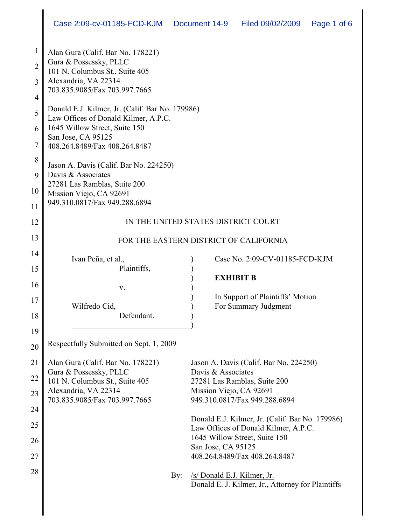| $\mathbf{1}$<br>$\overline{2}$<br>3<br>$\overline{4}$ | Alan Gura (Calif. Bar No. 178221)<br>Gura & Possessky, PLLC<br>101 N. Columbus St., Suite 405<br>Alexandria, VA 22314<br>703.835.9085/Fax 703.997.7665 |                                                                                  |
|-------------------------------------------------------|--------------------------------------------------------------------------------------------------------------------------------------------------------|----------------------------------------------------------------------------------|
| 5                                                     | Donald E.J. Kilmer, Jr. (Calif. Bar No. 179986)                                                                                                        |                                                                                  |
| 6                                                     | Law Offices of Donald Kilmer, A.P.C.<br>1645 Willow Street, Suite 150                                                                                  |                                                                                  |
| 7                                                     | San Jose, CA 95125<br>408.264.8489/Fax 408.264.8487                                                                                                    |                                                                                  |
| 8                                                     | Jason A. Davis (Calif. Bar No. 224250)                                                                                                                 |                                                                                  |
| 9                                                     | Davis & Associates                                                                                                                                     |                                                                                  |
| 10                                                    | 27281 Las Ramblas, Suite 200<br>Mission Viejo, CA 92691                                                                                                |                                                                                  |
| 11                                                    | 949.310.0817/Fax 949.288.6894                                                                                                                          |                                                                                  |
| 12                                                    |                                                                                                                                                        | IN THE UNITED STATES DISTRICT COURT                                              |
| 13                                                    |                                                                                                                                                        | FOR THE EASTERN DISTRICT OF CALIFORNIA                                           |
| 14                                                    | Ivan Peña, et al.,                                                                                                                                     | Case No. 2:09-CV-01185-FCD-KJM                                                   |
| 15                                                    | Plaintiffs,                                                                                                                                            |                                                                                  |
| 16                                                    | v.                                                                                                                                                     | <b>EXHIBIT B</b>                                                                 |
| 17                                                    |                                                                                                                                                        | In Support of Plaintiffs' Motion                                                 |
| 18                                                    | Wilfredo Cid,<br>Defendant.                                                                                                                            | For Summary Judgment                                                             |
| 19                                                    |                                                                                                                                                        |                                                                                  |
| 20                                                    | Respectfully Submitted on Sept. 1, 2009                                                                                                                |                                                                                  |
| 21                                                    | Alan Gura (Calif. Bar No. 178221)                                                                                                                      | Jason A. Davis (Calif. Bar No. 224250)                                           |
| 22                                                    | Gura & Possessky, PLLC<br>101 N. Columbus St., Suite 405                                                                                               | Davis & Associates<br>27281 Las Ramblas, Suite 200                               |
| 23                                                    | Alexandria, VA 22314                                                                                                                                   | Mission Viejo, CA 92691                                                          |
| 24                                                    | 703.835.9085/Fax 703.997.7665                                                                                                                          | 949.310.0817/Fax 949.288.6894                                                    |
| 25                                                    |                                                                                                                                                        | Donald E.J. Kilmer, Jr. (Calif. Bar No. 179986)                                  |
|                                                       |                                                                                                                                                        | Law Offices of Donald Kilmer, A.P.C.<br>1645 Willow Street, Suite 150            |
| 26                                                    |                                                                                                                                                        | San Jose, CA 95125                                                               |
| 27                                                    |                                                                                                                                                        | 408.264.8489/Fax 408.264.8487                                                    |
| 28                                                    | By:                                                                                                                                                    | /s/ Donald E.J. Kilmer, Jr.<br>Donald E. J. Kilmer, Jr., Attorney for Plaintiffs |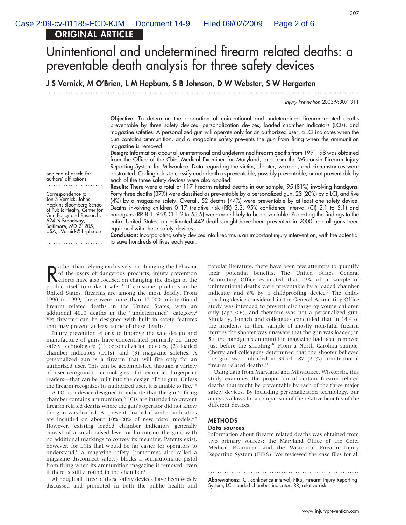## ORIGINAL ARTICLE

# Unintentional and undetermined firearm related deaths: a preventable death analysis for three safety devices

## J S Vernick, M O'Brien, L M Hepburn, S B Johnson, D W Webster, S W Hargarten

.............................................................................................................................. .

### Injury Prevention 2003;9:307–311

Objective: To determine the proportion of unintentional and undetermined firearm related deaths preventable by three safety devices: personalization devices, loaded chamber indicators (LCIs), and magazine safeties. A personalized gun will operate only for an authorized user, a LCI indicates when the gun contains ammunition, and a magazine safety prevents the gun from firing when the ammunition magazine is removed.

Design: Information about all unintentional and undetermined firearm deaths from 1991–98 was obtained from the Office of the Chief Medical Examiner for Maryland, and from the Wisconsin Firearm Injury Reporting System for Milwaukee. Data regarding the victim, shooter, weapon, and circumstances were abstracted. Coding rules to classify each death as preventable, possibly preventable, or not preventable by each of the three safety devices were also applied.

See end of article for authors' affiliations ....................... Correspondence to:

Jon S Vernick, Johns Hopkins Bloomberg School of Public Health, Center for Gun Policy and Research, 624 N Broadway, Baltimore, MD 21205. USA; JVernick@jhsph.edu

.......................

Results: There were a total of 117 firearm related deaths in our sample, 95 (81%) involving handguns. Forty three deaths (37%) were classified as preventable by a personalized gun, 23 (20%) by a LCI, and five (4%) by a magazine safety. Overall, 52 deaths (44%) were preventable by at least one safety device. Deaths involving children 0–17 (relative risk (RR) 3.3, 95% confidence interval (CI) 2.1 to 5.1) and handguns (RR 8.1, 95% CI 1.2 to 53.5) were more likely to be preventable. Projecting the findings to the entire United States, an estimated 442 deaths might have been prevented in 2000 had all guns been equipped with these safety devices.

Conclusion: Incorporating safety devices into firearms is an important injury intervention, with the potential to save hundreds of lives each year.

**R** ather than relying exclusively on changing the behavior of the users of dangerous products, injury prevention efforts have also focused on changing the design of the product itself to make it safer  $\frac{1}{2}$  Of consum of the users of dangerous products, injury prevention efforts have also focused on changing the design of the product itself to make it safer.<sup>1</sup> Of consumer products in the United States, firearms are among the most deadly. From 1990 to 1999, there were more than 12 000 unintentional firearm related deaths in the United States, with an additional 4000 deaths in the "undetermined" category.<sup>2</sup> Yet firearms can be designed with built-in safety features that may prevent at least some of these deaths.<sup>3</sup>

Injury prevention efforts to improve the safe design and manufacture of guns have concentrated primarily on three safety technologies: (1) personalization devices, (2) loaded chamber indicators (LCIs), and (3) magazine safeties. A personalized gun is a firearm that will fire only for an authorized user. This can be accomplished through a variety of user-recognition technologies—for example, fingerprint readers—that can be built into the design of the gun. Unless the firearm recognizes its authorized user, it is unable to fire.<sup>45</sup>

A LCI is a device designed to indicate that the gun's firing chamber contains ammunition.<sup>6</sup> LCIs are intended to prevent firearm related deaths where the gun's operator did not know the gun was loaded. At present, loaded chamber indicators are included on about 10%–20% of new pistol models.<sup>67</sup> However, existing loaded chamber indicators generally consist of a small raised lever or button on the gun, with no additional markings to convey its meaning. Patents exist, however, for LCIs that would be far easier for operators to understand.6 A magazine safety (sometimes also called a magazine disconnect safety) blocks a semiautomatic pistol from firing when its ammunition magazine is removed, even if there is still a round in the chamber.<sup>8</sup>

Although all three of these safety devices have been widely discussed and promoted in both the public health and popular literature, there have been few attempts to quantify their potential benefits. The United States General Accounting Office estimated that 23% of a sample of unintentional deaths were preventable by a loaded chamber indicator and 8% by a childproofing device.<sup>9</sup> The childproofing device considered in the General Accounting Office study was intended to prevent discharge by young children only (age  $\leq 6$ ), and therefore was not a personalized gun. Similarly, Ismach and colleagues concluded that in 14% of the incidents in their sample of mostly non-fatal firearm injuries the shooter was unaware that the gun was loaded; in 5% the handgun's ammunition magazine had been removed just before the shooting.<sup>10</sup> From a North Carolina sample, Cherry and colleagues determined that the shooter believed the gun was unloaded in 39 of 187 (21%) unintentional firearm related deaths.<sup>11</sup>

Using data from Maryland and Milwaukee, Wisconsin, this study examines the proportion of certain firearm related deaths that might be preventable by each of the three major safety devices. By including personalization technology, our analysis allows for a comparison of the relative benefits of the different devices.

### METHODS

## Data sources

Information about firearm related deaths was obtained from two primary sources: the Maryland Office of the Chief Medical Examiner, and the Wisconsin Firearm Injury Reporting System (FIRS). We reviewed the case files for all

............................................................... . Abbreviations: CI, confidence interval; FIRS, Firearm Injury Reporting System; LCI, loaded chamber indicator; RR, relative risk

307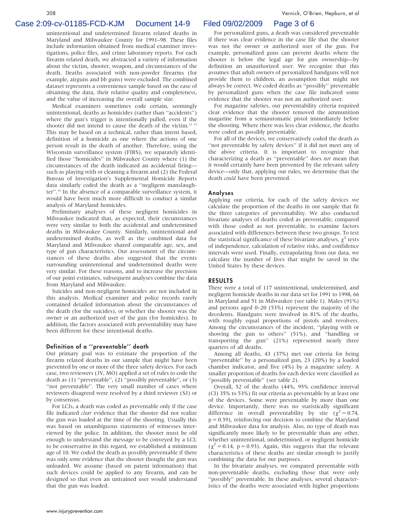## Case 2:09-cv-01185-FCD-KJM Document 14-9 Filed 09/02/2009 Page 3 of 6

unintentional and undetermined firearm related deaths in Maryland and Milwaukee County for 1991–98. These files include information obtained from medical examiner investigations, police files, and crime laboratory reports. For each firearm related death, we abstracted a variety of information about the victim, shooter, weapon, and circumstances of the death. Deaths associated with non-powder firearms (for example, airguns and bb guns) were excluded. The combined dataset represents a convenience sample based on the ease of obtaining the data, their relative quality and completeness, and the value of increasing the overall sample size.

Medical examiners sometimes code certain, seemingly unintentional, deaths as homicides (rather than ''accidents'') where the gun's trigger is intentionally pulled, even if the shooter did not intend to cause the death of the victim.<sup>12</sup><sup>13</sup> This may be based on a technical, rather than intent based, definition of a homicide as one where the actions of one person result in the death of another. Therefore, using the Wisconsin surveillance system (FIRS), we separately identified those ''homicides'' in Milwaukee County where (1) the circumstances of the death indicated an accidental firing such as playing with or cleaning a firearm and (2) the Federal Bureau of Investigation's Supplemental Homicide Reports data similarly coded the death as a ''negligent manslaughter''.14 In the absence of a comparable surveillance system, it would have been much more difficult to conduct a similar analysis of Maryland homicides.

Preliminary analyses of these negligent homicides in Milwaukee indicated that, as expected, their circumstances were very similar to both the accidental and undetermined deaths in Milwaukee County. Similarly, unintentional and undetermined deaths, as well as the combined data for Maryland and Milwaukee shared comparable age, sex, and type of gun characteristics. Our assessment of the circumstances of these deaths also suggested that the events surrounding unintentional and undetermined deaths were very similar. For these reasons, and to increase the precision of our point estimates, subsequent analyses combine the data from Maryland and Milwaukee.

Suicides and non-negligent homicides are not included in this analysis. Medical examiner and police records rarely contained detailed information about the circumstances of the death (for the suicides), or whether the shooter was the owner or an authorized user of the gun (for homicides). In addition, the factors associated with preventability may have been different for these intentional deaths.

## Definition of a ''preventable'' death

Our primary goal was to estimate the proportion of the firearm related deaths in our sample that might have been prevented by one or more of the three safety devices. For each case, two reviewers (JV, MO) applied a set of rules to code the death as (1) ''preventable'', (2) ''possibly preventable'', or (3) "not preventable". The very small number of cases where reviewers disagreed were resolved by a third reviewer (SJ) or by consensus.

For LCIs, a death was coded as preventable only if the case file indicated clear evidence that the shooter did not realize the gun was loaded at the time of the shooting. Usually this was based on unambiguous statements of witnesses interviewed by the police. In addition, the shooter must be old enough to understand the message to be conveyed by a LCI; to be conservative in this regard, we established a minimum age of 10. We coded the death as possibly preventable if there was only some evidence that the shooter thought the gun was unloaded. We assume (based on patent information) that such devices could be applied to any firearm, and can be designed so that even an untrained user would understand that the gun was loaded.

For personalized guns, a death was considered preventable if there was clear evidence in the case file that the shooter was not the owner or authorized user of the gun. For example, personalized guns can prevent deaths where the shooter is below the legal age for gun ownership—by definition an unauthorized user. We recognize that this assumes that adult owners of personalized handguns will not provide them to children, an assumption that might not always be correct. We coded deaths as ''possibly'' preventable by personalized guns when the case file indicated some evidence that the shooter was not an authorized user.

For magazine safeties, our preventability criteria required clear evidence that the shooter removed the ammunition magazine from a semiautomatic pistol immediately before the shooting. Where there was less clear evidence, the deaths were coded as possibly preventable.

For all of the devices, we conservatively coded the death as "not preventable by safety devices" if it did not meet any of the above criteria. It is important to recognize that characterizing a death as ''preventable'' does not mean that it would certainly have been prevented by the relevant safety device—only that, applying our rules, we determine that the death could have been prevented.

### Analyses

Applying our criteria, for each of the safety devices we calculate the proportion of the deaths in our sample that fit the three categories of preventability. We also conducted bivariate analyses of deaths coded as preventable, compared with those coded as not preventable, to examine factors associated with differences between these two groups. To test the statistical significance of these bivariate analyses,  $\chi^2$  tests of independence, calculation of relative risks, and confidence intervals were used. Finally, extrapolating from our data, we calculate the number of lives that might be saved in the United States by these devices.

### RESULTS

There were a total of 117 unintentional, undetermined, and negligent homicide deaths in our data set for 1991 to 1998, 66 in Maryland and 51 in Milwaukee (see table 1). Males (91%) and persons aged 0–20 (53%) represent the majority of the decedents. Handguns were involved in 81% of the deaths, with roughly equal proportions of pistols and revolvers. Among the circumstances of the incident, ''playing with or showing the gun to others'' (51%), and ''handling or transporting the gun'' (21%) represented nearly three quarters of all deaths.

Among all deaths, 43 (37%) met our criteria for being ''preventable'' by a personalized gun, 23 (20%) by a loaded chamber indicator, and five (4%) by a magazine safety. A smaller proportion of deaths for each device were classified as "possibly preventable" (see table 2).

Overall, 52 of the deaths (44%, 95% confidence interval (CI) 35% to 53%) fit our criteria as preventable by at least one of the devices. Some were preventable by more than one device. Importantly, there was no statistically significant difference in overall preventability by site  $(\chi^2 = 0.74,$  $p = 0.39$ ), reinforcing our decision to combine the Maryland and Milwaukee data for analysis. Also, no type of death was significantly more likely to be preventable than any other, whether unintentional, undetermined, or negligent homicide  $(\chi^2 = 0.14, p = 0.93)$ . Again, this suggests that the relevant characteristics of these deaths are similar enough to justify combining the data for our purposes.

In the bivariate analyses, we compared preventable with non-preventable deaths, excluding those that were only ''possibly'' preventable. In these analyses, several characteristics of the deaths were associated with higher proportions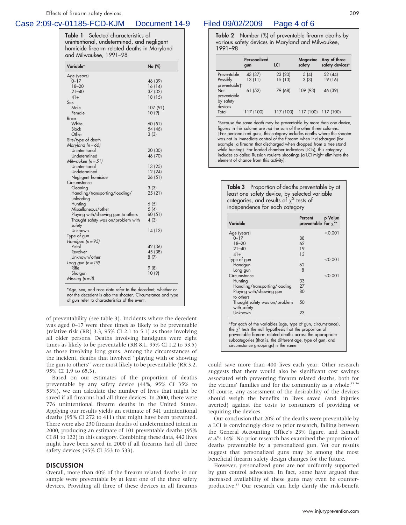## Case 2:09-cv-01185-FCD-KJM Document 14-9 Filed 09/02/2009 Page 4 of 6

Table 1 Selected characteristics of unintentional, undetermined, and negligent homicide firearm related deaths in Maryland and Milwaukee, 1991–98

| Variable*                                                                                                                                                                  | No (%)                                   |
|----------------------------------------------------------------------------------------------------------------------------------------------------------------------------|------------------------------------------|
| Age (years)<br>$0 - 17$<br>$18 - 20$<br>$21 - 40$<br>$41+$<br>Sex                                                                                                          | 46 (39)<br>16 (14)<br>37 (32)<br>18 (15) |
| Male<br>Female<br>Race                                                                                                                                                     | 107 (91)<br>10(9)                        |
| White<br>Black<br>Other<br>Site/type of death                                                                                                                              | 60 (51)<br>54 (46)<br>3(3)               |
| Maryland $(n = 66)$<br>Unintentional<br>Undetermined<br>Milwaukee $(n=51)$                                                                                                 | 20 (30)<br>46 (70)                       |
| Unintentional<br>Undetermined<br>Negligent homicide<br>Circumstance                                                                                                        | 13 (25)<br>12 (24)<br>26(51)             |
| Cleaning<br>Handling/transporting/loading/<br>unloading                                                                                                                    | 3(3)<br>25(21)                           |
| Hunting<br>Miscellaneous/other<br>Playing with/showing gun to others<br>Thought safety was on/problem with<br>safety                                                       | 6(5)<br>5(4)<br>60 (51)<br>4(3)          |
| Unknown<br>Type of gun<br>Handgun (n = 95)                                                                                                                                 | 14 (12)                                  |
| Pistol<br>Revolver<br>Unknown/other                                                                                                                                        | 42 (36)<br>45 (38)<br>8(7)               |
| Long gun $(n = 19)$<br>Rifle<br>Shotgun<br>Missing $(n = 3)$                                                                                                               | 9 (8)<br>10(9)                           |
| *Age, sex, and race data refer to the decedent, whether or<br>not the decedent is also the shooter. Circumstance and type<br>of gun refer to characteristics of the event. |                                          |

of preventability (see table 3). Incidents where the decedent was aged 0–17 were three times as likely to be preventable (relative risk (RR) 3.3, 95% CI 2.1 to 5.1) as those involving all older persons. Deaths involving handguns were eight times as likely to be preventable (RR 8.1, 95% CI 1.2 to 53.5) as those involving long guns. Among the circumstances of the incident, deaths that involved ''playing with or showing the gun to others'' were most likely to be preventable (RR 3.2, 95% CI 1.9 to 65.3).

Based on our estimates of the proportion of deaths preventable by any safety device (44%, 95% CI 35% to 53%), we can calculate the number of lives that might be saved if all firearms had all three devices. In 2000, there were 776 unintentional firearm deaths in the United States. Applying our results yields an estimate of 341 unintentional deaths (95% CI 272 to 411) that might have been prevented. There were also 230 firearm deaths of undetermined intent in 2000, producing an estimate of 101 preventable deaths (95% CI 81 to 122) in this category. Combining these data, 442 lives might have been saved in 2000 if all firearms had all three safety devices (95% CI 353 to 533).

## **DISCUSSION**

Overall, more than 40% of the firearm related deaths in our sample were preventable by at least one of the three safety devices. Providing all three of these devices in all firearms

Table 2 Number (%) of preventable firearm deaths by various safety devices in Maryland and Milwaukee, 1991–98

|                                                     | Personalized<br>gun | LCI               | Magazine<br>safety | Any of three<br>safety devices* |  |  |
|-----------------------------------------------------|---------------------|-------------------|--------------------|---------------------------------|--|--|
| Preventable<br>Possibly<br>preventable <sup>+</sup> | 43 (37)<br>13(11)   | 23 (20)<br>15(13) | 5(4)<br>3(3)       | 52 (44)<br>19 (16)              |  |  |
| Not<br>preventable<br>by safety<br>devices          | 61 (52)             | 79 (68)           | 109 (93)           | 46 (39)                         |  |  |
| Total                                               | 117 (100)           | 117 (100)         | 117 (100)          | 117 (100)                       |  |  |

\*Because the same death may be preventable by more than one device, figures in this column are not the sum of the other three columns. -For personalized guns, this category includes deaths where the shooter was not in immediate control of the firearm when it discharged (for example, a firearm that discharged when dropped from a tree stand while hunting). For loaded chamber indicators (LCIs), this category includes so-called Russian roulette shootings (a LCI might eliminate the element of chance from this activity).

| Table 3 Proportion of deaths preventable by at |  |
|------------------------------------------------|--|
| least one safety device, by selected variable  |  |
| categories, and results of $\chi^2$ tests of   |  |
| independence for each category                 |  |

| Variable                                                  | Percent      | p Value<br>preventable for $\gamma^{2*}$ |
|-----------------------------------------------------------|--------------|------------------------------------------|
| Age (years)                                               |              | < 0.001                                  |
| $0 - 17$                                                  | 88           |                                          |
| $18 - 20$                                                 | 62           |                                          |
| $21 - 40$                                                 | 19           |                                          |
| $41+$                                                     | 13           |                                          |
| Type of gun                                               |              | < 0.001                                  |
| Handgun                                                   | 62           |                                          |
| Long gun                                                  | $\mathsf{R}$ |                                          |
| Circumstance                                              |              | < 0.001                                  |
| Hunting                                                   | 33           |                                          |
| Handling/transporting/loading                             | 27           |                                          |
| Playing with/showing gun                                  | 80           |                                          |
| to others<br>Thought safety was on/problem<br>with safety | 50           |                                          |
| Unknown                                                   | 23           |                                          |

could save more than 400 lives each year. Other research suggests that there would also be significant cost savings associated with preventing firearm related deaths, both for the victims' families and for the community as a whole.<sup>15 16</sup> Of course, any assessment of the desirability of the devices should weigh the benefits in lives saved (and injuries averted) against the costs to consumers of providing or requiring the devices.

Our conclusion that 20% of the deaths were preventable by a LCI is convincingly close to prior research, falling between the General Accounting Office's 23% figure, and Ismach et al's 14%. No prior research has examined the proportion of deaths preventable by a personalized gun. Yet our results suggest that personalized guns may be among the most beneficial firearm safety design changes for the future.

However, personalized guns are not uniformly supported by gun control advocates. In fact, some have argued that increased availability of these guns may even be counterproductive.17 Our research can help clarify the risk-benefit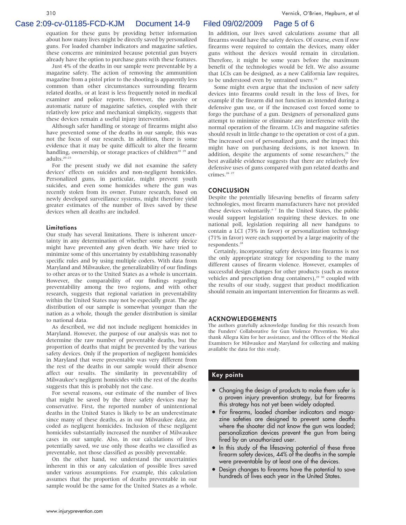## Case 2:09-cv-01185-FCD-KJM Document 14-9 Filed 09/02/2009 Page 5 of 6

equation for these guns by providing better information about how many lives might be directly saved by personalized guns. For loaded chamber indicators and magazine safeties, these concerns are minimized because potential gun buyers already have the option to purchase guns with these features.

Just 4% of the deaths in our sample were preventable by a magazine safety. The action of removing the ammunition magazine from a pistol prior to the shooting is apparently less common than other circumstances surrounding firearm related deaths, or at least is less frequently noted in medical examiner and police reports. However, the passive or automatic nature of magazine safeties, coupled with their relatively low price and mechanical simplicity, suggests that these devices remain a useful injury intervention.

Although safer handling or storage of firearms might also have prevented some of the deaths in our sample, this was not the focus of our research. In addition, there is some evidence that it may be quite difficult to alter the firearm handling, ownership, or storage practices of children<sup>18 19</sup> and adults.20–23

For the present study we did not examine the safety devices' effects on suicides and non-negligent homicides. Personalized guns, in particular, might prevent youth suicides, and even some homicides where the gun was recently stolen from its owner. Future research, based on newly developed surveillance systems, might therefore yield greater estimates of the number of lives saved by these devices when all deaths are included.

## **Limitations**

Our study has several limitations. There is inherent uncertainty in any determination of whether some safety device might have prevented any given death. We have tried to minimize some of this uncertainty by establishing reasonably specific rules and by using multiple coders. With data from Maryland and Milwaukee, the generalizability of our findings to other areas or to the United States as a whole is uncertain. However, the comparability of our findings regarding preventability among the two regions, and with other research, suggests that regional variation in preventability within the United States may not be especially great. The age distribution of our sample is somewhat younger than the nation as a whole, though the gender distribution is similar to national data.

As described, we did not include negligent homicides in Maryland. However, the purpose of our analysis was not to determine the raw number of preventable deaths, but the proportion of deaths that might be prevented by the various safety devices. Only if the proportion of negligent homicides in Maryland that were preventable was very different from the rest of the deaths in our sample would their absence affect our results. The similarity in preventability of Milwaukee's negligent homicides with the rest of the deaths suggests that this is probably not the case.

For several reasons, our estimate of the number of lives that might be saved by the three safety devices may be conservative. First, the reported number of unintentional deaths in the United States is likely to be an underestimate since many of these deaths, as in our Milwaukee data, are coded as negligent homicides. Inclusion of these negligent homicides substantially increased the number of Milwaukee cases in our sample. Also, in our calculations of lives potentially saved, we use only those deaths we classified as preventable, not those classified as possibly preventable.

On the other hand, we understand the uncertainties inherent in this or any calculation of possible lives saved under various assumptions. For example, this calculation assumes that the proportion of deaths preventable in our sample would be the same for the United States as a whole.

In addition, our lives saved calculations assume that all firearms would have the safety devices. Of course, even if new firearms were required to contain the devices, many older guns without the devices would remain in circulation. Therefore, it might be some years before the maximum benefit of the technologies would be felt. We also assume that LCIs can be designed, as a new California law requires, to be understood even by untrained users.<sup>24</sup>

Some might even argue that the inclusion of new safety devices into firearms could result in the loss of lives, for example if the firearm did not function as intended during a defensive gun use, or if the increased cost forced some to forgo the purchase of a gun. Designers of personalized guns attempt to minimize or eliminate any interference with the normal operation of the firearm. LCIs and magazine safeties should result in little change to the operation or cost of a gun. The increased cost of personalized guns, and the impact this might have on purchasing decisions, is not known. In addition, despite the arguments of some researchers, $25$  the best available evidence suggests that there are relatively few defensive uses of guns compared with gun related deaths and crimes.<sup>26</sup><sup>27</sup>

## **CONCLUSION**

Despite the potentially lifesaving benefits of firearm safety technologies, most firearm manufacturers have not provided these devices voluntarily.<sup>67</sup> In the United States, the public would support legislation requiring these devices. In one national poll, legislation requiring all new handguns to contain a LCI (73% in favor) or personalization technology (71% in favor) were each supported by a large majority of the respondents.28

Certainly, incorporating safety devices into firearms is not the only appropriate strategy for responding to the many different causes of firearm violence. However, examples of successful design changes for other products (such as motor vehicles and prescription drug containers), $2930$  coupled with the results of our study, suggest that product modification should remain an important intervention for firearms as well.

## ACKNOWLEDGEMENTS

The authors gratefully acknowledge funding for this research from the Funders' Collaborative for Gun Violence Prevention. We also thank Allegra Kim for her assistance, and the Offices of the Medical Examiners for Milwaukee and Maryland for collecting and making available the data for this study.

## Key points

- Changing the design of products to make them safer is a proven injury prevention strategy, but for firearms this strategy has not yet been widely adopted.
- For firearms, loaded chamber indicators and magazine safeties are designed to prevent some deaths where the shooter did not know the gun was loaded; personalization devices prevent the gun from being fired by an unauthorized user.
- In this study of the lifesaving potential of these three firearm safety devices, 44% of the deaths in the sample were preventable by at least one of the devices.
- Design changes to firearms have the potential to save hundreds of lives each year in the United States.